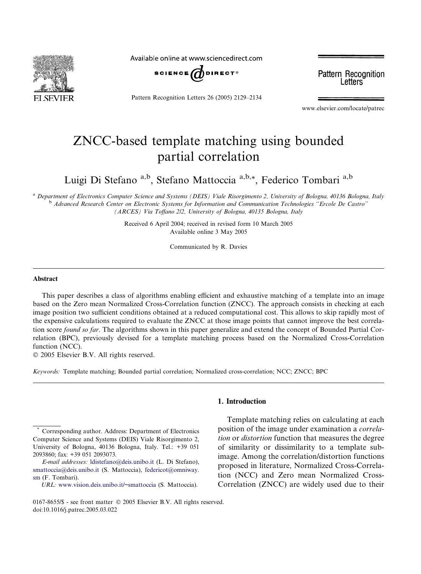

Available online at www.sciencedirect.com



Pattern Recognition Letters 26 (2005) 2129–2134

**Pattern Recognition** Letters

www.elsevier.com/locate/patrec

# ZNCC-based template matching using bounded partial correlation

Luigi Di Stefano a,b, Stefano Mattoccia a,b,\*, Federico Tombari a,b

<sup>a</sup> Department of Electronics Computer Science and Systems (DEIS) Viale Risorgimento 2, University of Bologna, 40136 Bologna, Italy <sup>b</sup> Advanced Research Center on Electronic Systems for Information and Communication Technologies ''Ercole De Castro'' (ARCES) Via Toffano 2/2, University of Bologna, 40135 Bologna, Italy

> Received 6 April 2004; received in revised form 10 March 2005 Available online 3 May 2005

> > Communicated by R. Davies

#### Abstract

This paper describes a class of algorithms enabling efficient and exhaustive matching of a template into an image based on the Zero mean Normalized Cross-Correlation function (ZNCC). The approach consists in checking at each image position two sufficient conditions obtained at a reduced computational cost. This allows to skip rapidly most of the expensive calculations required to evaluate the ZNCC at those image points that cannot improve the best correlation score *found so far*. The algorithms shown in this paper generalize and extend the concept of Bounded Partial Correlation (BPC), previously devised for a template matching process based on the Normalized Cross-Correlation function (NCC).

2005 Elsevier B.V. All rights reserved.

Keywords: Template matching; Bounded partial correlation; Normalized cross-correlation; NCC; ZNCC; BPC

## 1. Introduction

Template matching relies on calculating at each position of the image under examination a correlation or distortion function that measures the degree of similarity or dissimilarity to a template subimage. Among the correlation/distortion functions proposed in literature, Normalized Cross-Correlation (NCC) and Zero mean Normalized Cross-Correlation (ZNCC) are widely used due to their

Corresponding author. Address: Department of Electronics Computer Science and Systems (DEIS) Viale Risorgimento 2, University of Bologna, 40136 Bologna, Italy. Tel.: +39 051 2093860; fax: +39 051 2093073.

E-mail addresses: [ldistefano@deis.unibo.it](mailto:ldistefano@deis.unibo.it) (L. Di Stefano), [smattoccia@deis.unibo.it](mailto:smattoccia@deis.unibo.it) (S. Mattoccia), [federicot@omniway.](mailto:federicot@omniway. sm) [sm](mailto:federicot@omniway. sm) (F. Tombari).

URL: <www.vision.deis.unibo.it/~smattoccia> (S. Mattoccia).

<sup>0167-8655/\$ -</sup> see front matter © 2005 Elsevier B.V. All rights reserved. doi:10.1016/j.patrec.2005.03.022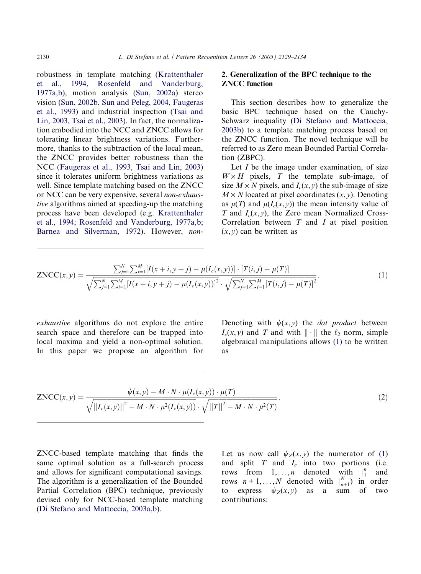<span id="page-1-0"></span>robustness in template matching [\(Krattenthaler](#page-5-0) [et al., 1994, Rosenfeld and Vanderburg,](#page-5-0) [1977a,b\)](#page-5-0), motion analysis ([Sun, 2002a\)](#page-5-0) stereo vision ([Sun, 2002b, Sun and Peleg, 2004, Faugeras](#page-5-0) [et al., 1993\)](#page-5-0) and industrial inspection ([Tsai and](#page-5-0) [Lin, 2003, Tsai et al., 2003](#page-5-0)). In fact, the normalization embodied into the NCC and ZNCC allows for tolerating linear brightness variations. Furthermore, thanks to the subtraction of the local mean, the ZNCC provides better robustness than the NCC [\(Faugeras et al., 1993, Tsai and Lin, 2003](#page-5-0)) since it tolerates uniform brightness variations as well. Since template matching based on the ZNCC or NCC can be very expensive, several non-exhaustive algorithms aimed at speeding-up the matching process have been developed (e.g. [Krattenthaler](#page-5-0) [et al., 1994; Rosenfeld and Vanderburg, 1977a,b;](#page-5-0) [Barnea and Silverman, 1972\)](#page-5-0). However, non-

# 2. Generalization of the BPC technique to the ZNCC function

This section describes how to generalize the basic BPC technique based on the Cauchy-Schwarz inequality [\(Di Stefano and Mattoccia,](#page-5-0) [2003b](#page-5-0)) to a template matching process based on the ZNCC function. The novel technique will be referred to as Zero mean Bounded Partial Correlation (ZBPC).

Let *I* be the image under examination, of size  $W \times H$  pixels, T the template sub-image, of size  $M \times N$  pixels, and  $I_c(x, y)$  the sub-image of size  $M \times N$  located at pixel coordinates  $(x, y)$ . Denoting as  $\mu(T)$  and  $\mu(I_c(x, y))$  the mean intensity value of T and  $I_c(x, y)$ , the Zero mean Normalized Cross-Correlation between  $T$  and  $I$  at pixel position  $(x, y)$  can be written as

$$
ZNCC(x,y) = \frac{\sum_{j=1}^{N} \sum_{i=1}^{M} [I(x+i, y+j) - \mu(I_c(x,y))] \cdot [T(i,j) - \mu(T)]}{\sqrt{\sum_{j=1}^{N} \sum_{i=1}^{M} [I(x+i, y+j) - \mu(I_c(x,y))]^2} \cdot \sqrt{\sum_{j=1}^{N} \sum_{i=1}^{M} [T(i,j) - \mu(T)]^2}}.
$$
(1)

exhaustive algorithms do not explore the entire search space and therefore can be trapped into local maxima and yield a non-optimal solution. In this paper we propose an algorithm for Denoting with  $\psi(x, y)$  the *dot product* between  $I_c(x, y)$  and T and with  $\|\cdot\|$  the  $\ell_2$  norm, simple algebraical manipulations allows (1) to be written as

$$
ZNCC(x, y) = \frac{\psi(x, y) - M \cdot N \cdot \mu(I_c(x, y)) \cdot \mu(T)}{\sqrt{||I_c(x, y)||^2 - M \cdot N \cdot \mu^2(I_c(x, y)) \cdot \sqrt{||T||^2 - M \cdot N \cdot \mu^2(T)}}}. \tag{2}
$$

ZNCC-based template matching that finds the same optimal solution as a full-search process and allows for significant computational savings. The algorithm is a generalization of the Bounded Partial Correlation (BPC) technique, previously devised only for NCC-based template matching ([Di Stefano and Mattoccia, 2003a,b\)](#page-5-0).

Let us now call  $\psi_Z(x, y)$  the numerator of (1) and split  $T$  and  $I_c$  into two portions (i.e. rows from  $1, \ldots, n$  denoted with  $\|_1^n$ and rows  $n+1,...,N$  denoted with  $\big|_{n+1}^{N}$  in order to express  $\psi_Z(x, y)$  as a sum of two contributions: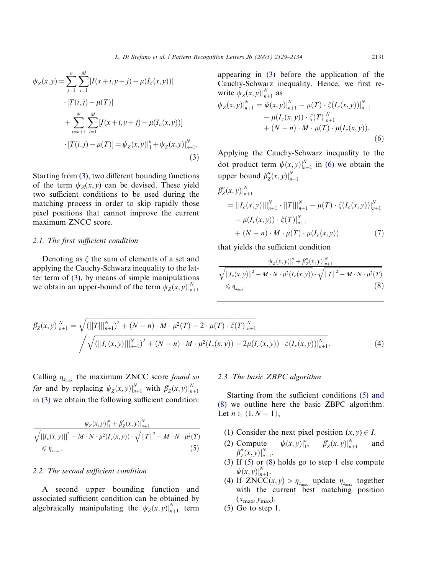<span id="page-2-0"></span>
$$
\psi_Z(x, y) = \sum_{j=1}^n \sum_{i=1}^M [I(x+i, y+j) - \mu(I_c(x, y))]
$$
  
\n
$$
\cdot [T(i, j) - \mu(T)]
$$
  
\n
$$
+ \sum_{j=n+1}^N \sum_{i=1}^M [I(x+i, y+j) - \mu(I_c(x, y))]
$$
  
\n
$$
\cdot [T(i, j) - \mu(T)] = \psi_Z(x, y)|_1^n + \psi_Z(x, y)|_{n+1}^N.
$$
  
\n(3)

Starting from [\(3\)](#page-1-0), two different bounding functions of the term  $\psi_Z(x, y)$  can be devised. These yield two sufficient conditions to be used during the matching process in order to skip rapidly those pixel positions that cannot improve the current maximum ZNCC score.

### 2.1. The first sufficient condition

Denoting as  $\xi$  the sum of elements of a set and applying the Cauchy-Schwarz inequality to the latter term of [\(3\)](#page-1-0), by means of simple manipulations we obtain an upper-bound of the term  $\psi_Z(x, y)|_{n+1}^N$ 

appearing in [\(3\)](#page-1-0) before the application of the Cauchy-Schwarz inequality. Hence, we first rewrite  $\psi_Z(x, y)|_{n+1}^N$  as

$$
\psi_Z(x, y)|_{n+1}^N = \psi(x, y)|_{n+1}^N - \mu(T) \cdot \xi(I_c(x, y))|_{n+1}^N - \mu(I_c(x, y)) \cdot \xi(T)|_{n+1}^N + (N - n) \cdot M \cdot \mu(T) \cdot \mu(I_c(x, y)).
$$
\n(6)

Applying the Cauchy-Schwarz inequality to the dot product term  $\psi(x, y)|_{n+1}^N$  in (6) we obtain the upper bound  $\beta''_Z(x, y)|_{n+1}^N$ 

$$
\beta''_Z(x, y)|_{n+1}^N = ||I_c(x, y)||_{n+1}^N \cdot ||T||_{n+1}^N - \mu(T) \cdot \xi(I_c(x, y))|_{n+1}^N - \mu(I_c(x, y)) \cdot \xi(T)|_{n+1}^N + (N - n) \cdot M \cdot \mu(T) \cdot \mu(I_c(x, y)) \tag{7}
$$

that yields the sufficient condition

$$
\frac{\psi_Z(x, y)|_1^n + \beta''_Z(x, y)|_{n+1}^N}{\sqrt{||I_c(x, y)||^2 - M \cdot N \cdot \mu^2(I_c(x, y))} \cdot \sqrt{||T||^2 - M \cdot N \cdot \mu^2(T)}}\n\leq \eta_{z_{\text{max}}}.
$$
\n(8)

$$
\beta'_{Z}(x,y)|_{n+1}^{N} = \sqrt{(||T||_{n+1}^{N})^{2} + (N-n) \cdot M \cdot \mu^{2}(T) - 2 \cdot \mu(T) \cdot \xi(T)|_{n+1}^{N}} \sqrt{\sqrt{(||I_{c}(x,y)||_{n+1}^{N})^{2} + (N-n) \cdot M \cdot \mu^{2}(I_{c}(x,y)) - 2\mu(I_{c}(x,y)) \cdot \xi(I_{c}(x,y))|_{n+1}^{N}}.
$$
\n(4)

Calling  $\eta_{z_{\text{max}}}$  the maximum ZNCC score found so *far* and by replacing  $\psi_z(x, y)|_{n+1}^N$  with  $\beta'_z(x, y)|_{n+1}^N$ in [\(3\)](#page-1-0) we obtain the following sufficient condition:

$$
\frac{\psi_Z(x, y)|_1^n + \beta'_Z(x, y)|_{n+1}^N}{\sqrt{||I_c(x, y)||_2^2 - M \cdot N \cdot \mu^2(I_c(x, y))} \cdot \sqrt{||T||_2^2 - M \cdot N \cdot \mu^2(T)}}\n\leq \eta_{z_{\text{max}}}.
$$
\n(5)

# 2.2. The second sufficient condition

A second upper bounding function and associated sufficient condition can be obtained by algebraically manipulating the  $\psi_Z(x, y)|_{n+1}^N$  term

#### 2.3. The basic ZBPC algorithm

Starting from the sufficient conditions (5) and (8) we outline here the basic ZBPC algorithm. Let  $n \in \{1, N - 1\},\$ 

- (1) Consider the next pixel position  $(x, y) \in I$ .
- $(2)$  Compute  $\int_{1}^{n}, \quad \beta'_Z(x, y)\big|_{n}^{N}$ and  $\beta''_Z(x,y)|_{n+1}^N$ .
- (3) If (5) or (8) holds go to step 1 else compute  $\psi(x, y)|_{n+1}^{N}$ .
- (4) If  $ZNCC(x, y) > \eta_{z_{\text{max}}}$  update  $\eta_{z_{\text{max}}}$  together with the current best matching position  $(x_{\text{max}},y_{\text{max}}).$
- $(5)$  Go to step 1.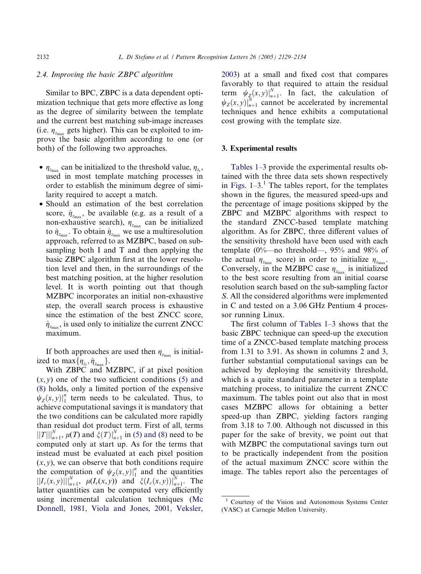# 2.4. Improving the basic ZBPC algorithm

Similar to BPC, ZBPC is a data dependent optimization technique that gets more effective as long as the degree of similarity between the template and the current best matching sub-image increases (i.e.  $\eta_{z_{\text{max}}}$  gets higher). This can be exploited to improve the basic algorithm according to one (or both) of the following two approaches.

- $\eta_{z_{\text{max}}}$  can be initialized to the threshold value,  $\eta_{z_t}$ , used in most template matching processes in order to establish the minimum degree of similarity required to accept a match.
- Should an estimation of the best correlation score,  $\hat{\eta}_{z_{\text{max}}}$ , be available (e.g. as a result of a non-exhaustive search),  $\eta_{z_{\text{max}}}$  can be initialized to  $\hat{\eta}_{z_{\text{max}}}$ . To obtain  $\hat{\eta}_{z_{\text{max}}}$  we use a multiresolution approach, referred to as MZBPC, based on subsampling both I and T and then applying the basic ZBPC algorithm first at the lower resolution level and then, in the surroundings of the best matching position, at the higher resolution level. It is worth pointing out that though MZBPC incorporates an initial non-exhaustive step, the overall search process is exhaustive since the estimation of the best ZNCC score,  $\hat{\eta}_{z_{\text{max}}}$ , is used only to initialize the current ZNCC maximum.

If both approaches are used then  $\eta_{z_{\text{max}}}$  is initialized to  $\max{\{\eta_{z_t}, \hat{\eta}_{z_{\text{max}}}\}}$ .

With ZBPC and MZBPC, if at pixel position  $(x, y)$  one of the two sufficient conditions [\(5\) and](#page-2-0) [\(8\)](#page-2-0) holds, only a limited portion of the expensive  $\psi_Z(x, y)|_1^n$  term needs to be calculated. Thus, to achieve computational savings it is mandatory that the two conditions can be calculated more rapidly than residual dot product term. First of all, terms  $||T||_{n+1}^N$ ,  $\mu(T)$  and  $\zeta(T)|_{n+1}^N$  in [\(5\) and \(8\)](#page-2-0) need to be computed only at start up. As for the terms that instead must be evaluated at each pixel position  $(x, y)$ , we can observe that both conditions require the computation of  $\psi_Z(x, y)|_1^n$  and the quantities  $\left\|I_c(x,y)\right\|_{n+1}^N$ ,  $\mu(I_c(x,y))$  and  $\xi(I_c(x,y))\right\|_{n+1}^N$ . The latter quantities can be computed very efficiently using incremental calculation techniques [\(Mc](#page-5-0) [Donnell, 1981, Viola and Jones, 2001, Veksler,](#page-5-0)

[2003](#page-5-0)) at a small and fixed cost that compares favorably to that required to attain the residual term  $\psi_{Z_n}(x, y)|_{n+1}^N$ . In fact, the calculation of  $\psi_Z(x, y)\big|_{n=1}^N$  cannot be accelerated by incremental techniques and hence exhibits a computational cost growing with the template size.

## 3. Experimental results

[Tables 1–3](#page-4-0) provide the experimental results obtained with the three data sets shown respectively in Figs.  $1-3$ .<sup>1</sup> The tables report, for the templates shown in the figures, the measured speed-ups and the percentage of image positions skipped by the ZBPC and MZBPC algorithms with respect to the standard ZNCC-based template matching algorithm. As for ZBPC, three different values of the sensitivity threshold have been used with each template  $(0\%$ —no threshold—, 95% and 98% of the actual  $\eta_{z_{\text{max}}}$  score) in order to initialize  $\eta_{z_{\text{max}}}$ . Conversely, in the MZBPC case  $\eta_{z_{\text{max}}}$  is initialized to the best score resulting from an initial coarse resolution search based on the sub-sampling factor S. All the considered algorithms were implemented in C and tested on a 3.06 GHz Pentium 4 processor running Linux.

The first column of [Tables 1–3](#page-4-0) shows that the basic ZBPC technique can speed-up the execution time of a ZNCC-based template matching process from 1.31 to 3.91. As shown in columns 2 and 3, further substantial computational savings can be achieved by deploying the sensitivity threshold, which is a quite standard parameter in a template matching process, to initialize the current ZNCC maximum. The tables point out also that in most cases MZBPC allows for obtaining a better speed-up than ZBPC, yielding factors ranging from 3.18 to 7.00. Although not discussed in this paper for the sake of brevity, we point out that with MZBPC the computational savings turn out to be practically independent from the position of the actual maximum ZNCC score within the image. The tables report also the percentages of

<sup>1</sup> Courtesy of the Vision and Autonomous Systems Center (VASC) at Carnegie Mellon University.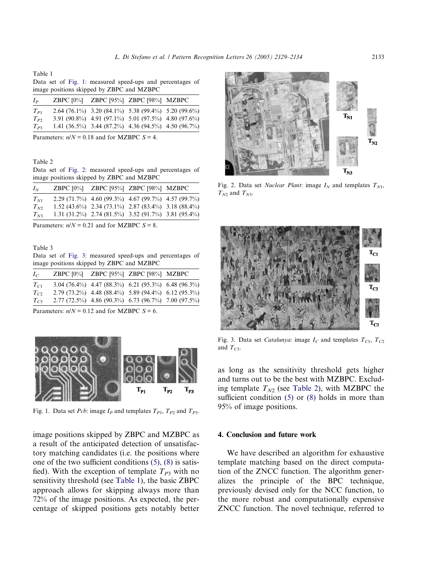<span id="page-4-0"></span>Table 1

Data set of Fig. 1: measured speed-ups and percentages of image positions skipped by ZBPC and MZBPC

| I <sub>p</sub> | $ZBPC$ [0%] | ZBPC $[95\%]$ ZBPC $[98\%]$ MZBPC                               |  |
|----------------|-------------|-----------------------------------------------------------------|--|
| $T_{P1}$       |             | 2.64 $(76.1\%)$ 3.20 $(84.1\%)$ 5.38 $(99.4\%)$ 5.20 $(99.6\%)$ |  |
| $T_{P2}$       |             | 3.91 (90.8%) 4.91 (97.1%) 5.01 (97.5%) 4.80 (97.6%)             |  |
| $T_{P3}$       |             | 1.41 $(36.5\%)$ 3.44 $(87.2\%)$ 4.36 $(94.5\%)$ 4.50 $(96.7\%)$ |  |

Parameters:  $n/N = 0.18$  and for MZBPC  $S = 4$ .

Table 2

Data set of Fig. 2: measured speed-ups and percentages of image positions skipped by ZBPC and MZBPC

| $I_N$    |  | ZBPC [0%] ZBPC [95%] ZBPC [98%] MZBPC                       |  |
|----------|--|-------------------------------------------------------------|--|
| $T_{N1}$ |  | 2.29 (71.7%) 4.60 (99.3%) 4.67 (99.7%) 4.57 (99.7%)         |  |
| $T_{N2}$ |  | $1.52(43.6\%)$ $2.34(73.1\%)$ $2.87(83.4\%)$ $3.18(88.4\%)$ |  |
| $T_{N3}$ |  | 1.31 (31.2%) 2.74 (81.5%) 3.52 (91.7%) 3.81 (95.4%)         |  |

Parameters:  $n/N = 0.21$  and for MZBPC  $S = 8$ .

Table 3

Data set of Fig. 3: measured speed-ups and percentages of image positions skipped by ZBPC and MZBPC

| $I_{C}$  |  | ZBPC [0%] ZBPC [95%] ZBPC [98%] MZBPC                           |  |
|----------|--|-----------------------------------------------------------------|--|
| $T_{C1}$ |  | 3.04 $(76.4\%)$ 4.47 $(88.3\%)$ 6.21 $(95.3\%)$ 6.48 $(96.3\%)$ |  |
| $T_{C2}$ |  | 2.79 (73.2%) 4.48 (88.4%) 5.89 (94.4%) 6.12 (95.3%)             |  |
| $T_{C2}$ |  | 2.77 (72.5%) 4.86 (90.3%) 6.73 (96.7%) 7.00 (97.5%)             |  |

Parameters:  $n/N = 0.12$  and for MZBPC  $S = 6$ .



Fig. 1. Data set *Pcb*: image  $I_P$  and templates  $T_{P1}$ ,  $T_{P2}$  and  $T_{P3}$ .

image positions skipped by ZBPC and MZBPC as a result of the anticipated detection of unsatisfactory matching candidates (i.e. the positions where one of the two sufficient conditions [\(5\), \(8\)](#page-2-0) is satisfied). With the exception of template  $T_{P3}$  with no sensitivity threshold (see Table 1), the basic ZBPC approach allows for skipping always more than 72% of the image positions. As expected, the percentage of skipped positions gets notably better



Fig. 2. Data set *Nuclear Plant*: image  $I_N$  and templates  $T_{N1}$ ,  $T_{N2}$  and  $T_{N3}$ .



Fig. 3. Data set *Catalunya*: image  $I_C$  and templates  $T_{C1}$ ,  $T_{C2}$ and  $T_{C3}$ .

as long as the sensitivity threshold gets higher and turns out to be the best with MZBPC. Excluding template  $T_{N2}$  (see Table 2), with MZBPC the sufficient condition [\(5\)](#page-2-0) or [\(8\)](#page-2-0) holds in more than 95% of image positions.

## 4. Conclusion and future work

We have described an algorithm for exhaustive template matching based on the direct computation of the ZNCC function. The algorithm generalizes the principle of the BPC technique, previously devised only for the NCC function, to the more robust and computationally expensive ZNCC function. The novel technique, referred to